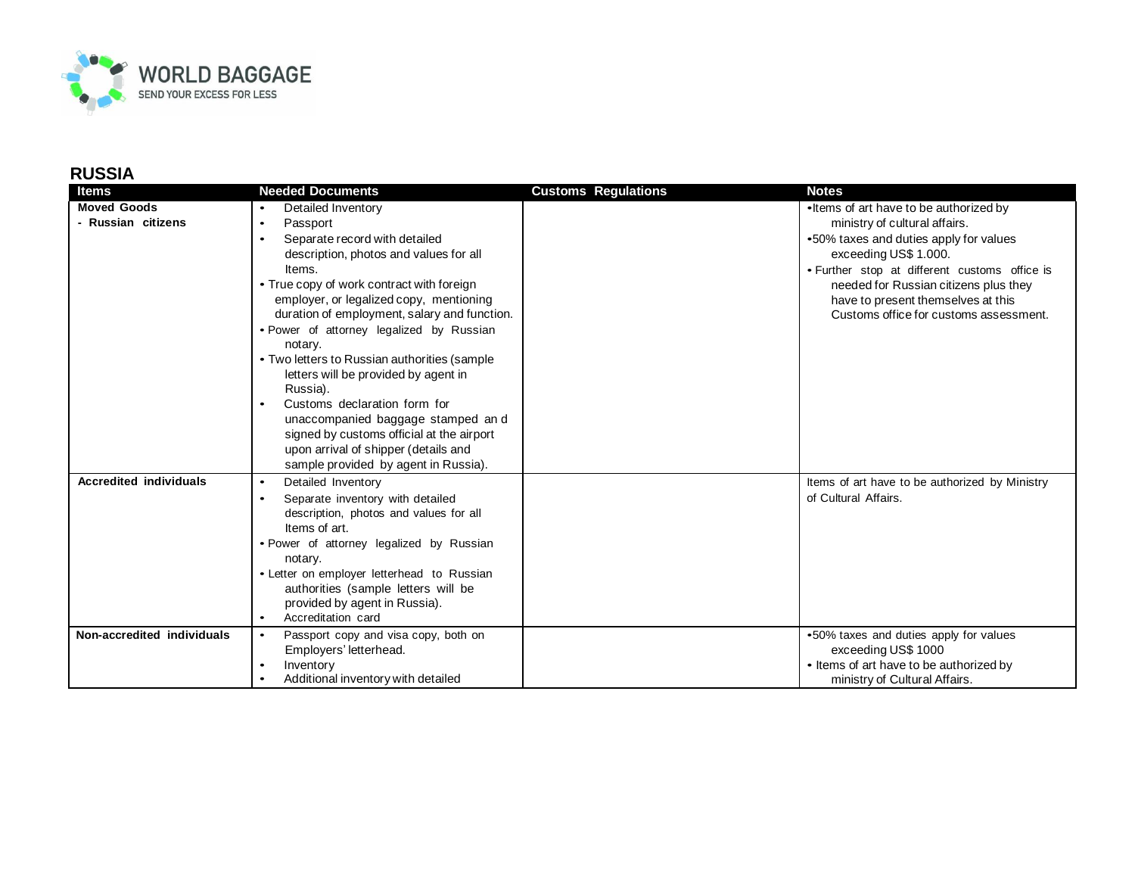

## **RUSSIA**

| <b>Items</b>                  | <b>Needed Documents</b>                               | <b>Customs Regulations</b> | <b>Notes</b>                                   |
|-------------------------------|-------------------------------------------------------|----------------------------|------------------------------------------------|
| <b>Moved Goods</b>            | Detailed Inventory                                    |                            | • Items of art have to be authorized by        |
| - Russian citizens            | Passport<br>$\bullet$                                 |                            | ministry of cultural affairs.                  |
|                               | Separate record with detailed<br>$\bullet$            |                            | •50% taxes and duties apply for values         |
|                               | description, photos and values for all                |                            | exceeding US\$ 1.000.                          |
|                               | Items.                                                |                            | • Further stop at different customs office is  |
|                               | • True copy of work contract with foreign             |                            | needed for Russian citizens plus they          |
|                               | employer, or legalized copy, mentioning               |                            | have to present themselves at this             |
|                               | duration of employment, salary and function.          |                            | Customs office for customs assessment.         |
|                               | • Power of attorney legalized by Russian              |                            |                                                |
|                               | notary.                                               |                            |                                                |
|                               | • Two letters to Russian authorities (sample          |                            |                                                |
|                               | letters will be provided by agent in                  |                            |                                                |
|                               | Russia).<br>Customs declaration form for<br>$\bullet$ |                            |                                                |
|                               | unaccompanied baggage stamped and                     |                            |                                                |
|                               | signed by customs official at the airport             |                            |                                                |
|                               | upon arrival of shipper (details and                  |                            |                                                |
|                               | sample provided by agent in Russia).                  |                            |                                                |
| <b>Accredited individuals</b> | Detailed Inventory<br>$\bullet$                       |                            | Items of art have to be authorized by Ministry |
|                               | Separate inventory with detailed<br>$\bullet$         |                            | of Cultural Affairs.                           |
|                               | description, photos and values for all                |                            |                                                |
|                               | Items of art.                                         |                            |                                                |
|                               | • Power of attorney legalized by Russian              |                            |                                                |
|                               | notary.                                               |                            |                                                |
|                               | • Letter on employer letterhead to Russian            |                            |                                                |
|                               | authorities (sample letters will be                   |                            |                                                |
|                               | provided by agent in Russia).                         |                            |                                                |
|                               | Accreditation card<br>$\bullet$                       |                            |                                                |
| Non-accredited individuals    | Passport copy and visa copy, both on<br>$\bullet$     |                            | .50% taxes and duties apply for values         |
|                               | Employers' letterhead.                                |                            | exceeding US\$ 1000                            |
|                               | Inventory<br>$\bullet$                                |                            | • Items of art have to be authorized by        |
|                               | Additional inventory with detailed                    |                            | ministry of Cultural Affairs.                  |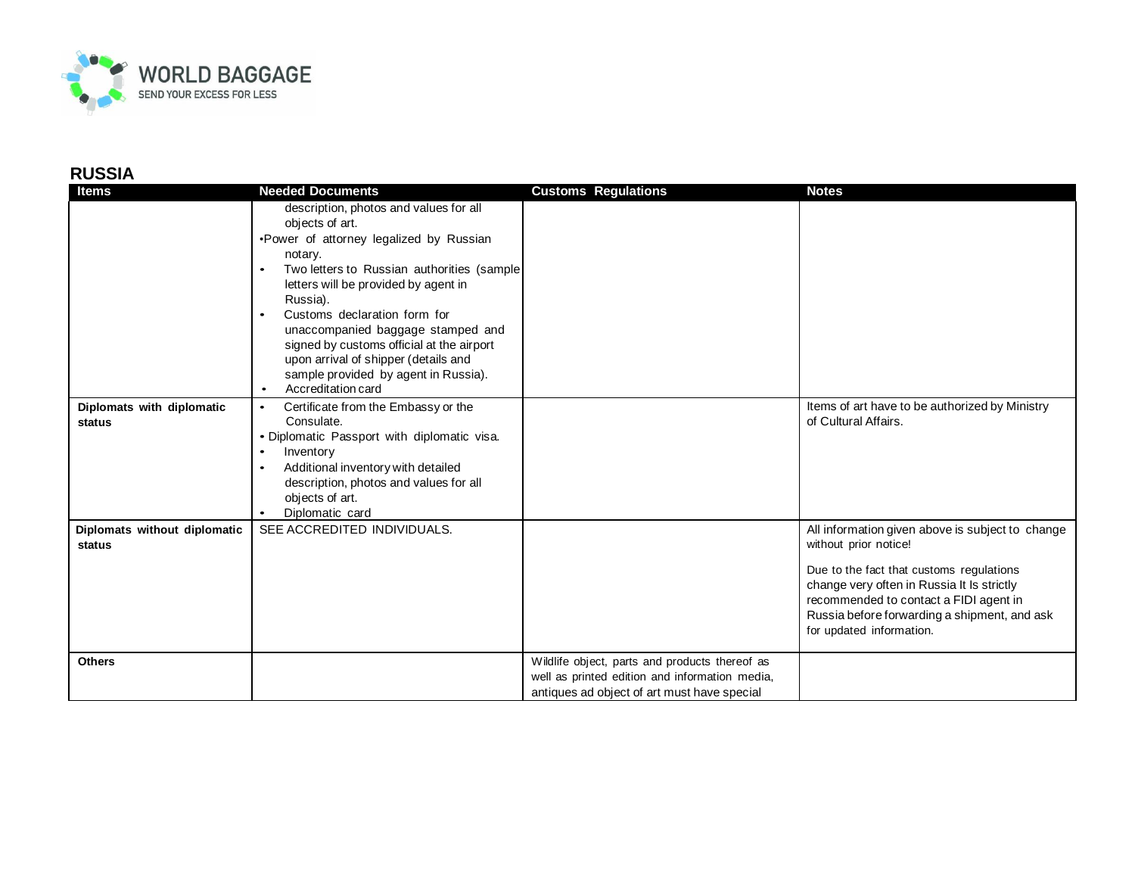

## **RUSSIA**

| <b>Items</b>                           | <b>Needed Documents</b>                                                                                                                                                                                                                                                                                                                                                                                                                                             | <b>Customs Regulations</b>                                                                                                                      | <b>Notes</b>                                                                                                                                                                                                                                                                              |
|----------------------------------------|---------------------------------------------------------------------------------------------------------------------------------------------------------------------------------------------------------------------------------------------------------------------------------------------------------------------------------------------------------------------------------------------------------------------------------------------------------------------|-------------------------------------------------------------------------------------------------------------------------------------------------|-------------------------------------------------------------------------------------------------------------------------------------------------------------------------------------------------------------------------------------------------------------------------------------------|
|                                        | description, photos and values for all<br>objects of art.<br>.Power of attorney legalized by Russian<br>notary.<br>Two letters to Russian authorities (sample<br>letters will be provided by agent in<br>Russia).<br>Customs declaration form for<br>$\bullet$<br>unaccompanied baggage stamped and<br>signed by customs official at the airport<br>upon arrival of shipper (details and<br>sample provided by agent in Russia).<br>Accreditation card<br>$\bullet$ |                                                                                                                                                 |                                                                                                                                                                                                                                                                                           |
| Diplomats with diplomatic<br>status    | Certificate from the Embassy or the<br>$\bullet$<br>Consulate.<br>• Diplomatic Passport with diplomatic visa.<br>Inventory<br>$\bullet$<br>Additional inventory with detailed<br>$\bullet$<br>description, photos and values for all<br>objects of art.<br>Diplomatic card                                                                                                                                                                                          |                                                                                                                                                 | Items of art have to be authorized by Ministry<br>of Cultural Affairs.                                                                                                                                                                                                                    |
| Diplomats without diplomatic<br>status | SEE ACCREDITED INDIVIDUALS.                                                                                                                                                                                                                                                                                                                                                                                                                                         |                                                                                                                                                 | All information given above is subject to change<br>without prior notice!<br>Due to the fact that customs regulations<br>change very often in Russia It Is strictly<br>recommended to contact a FIDI agent in<br>Russia before forwarding a shipment, and ask<br>for updated information. |
| <b>Others</b>                          |                                                                                                                                                                                                                                                                                                                                                                                                                                                                     | Wildlife object, parts and products thereof as<br>well as printed edition and information media,<br>antiques ad object of art must have special |                                                                                                                                                                                                                                                                                           |